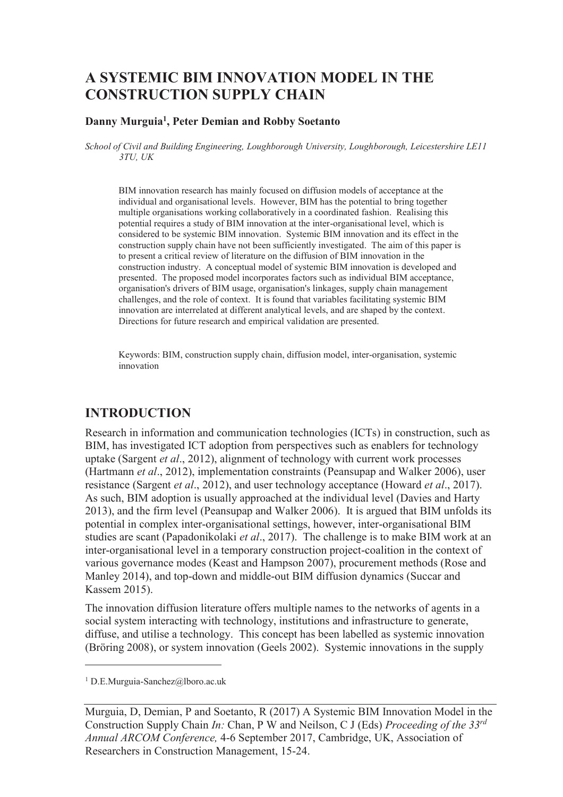# **A SYSTEMIC BIM INNOVATION MODEL IN THE CONSTRUCTION SUPPLY CHAIN**

#### **Danny Murguia<sup>1</sup> , Peter Demian and Robby Soetanto**

*School of Civil and Building Engineering, Loughborough University, Loughborough, Leicestershire LE11 3TU, UK* 

BIM innovation research has mainly focused on diffusion models of acceptance at the individual and organisational levels. However, BIM has the potential to bring together multiple organisations working collaboratively in a coordinated fashion. Realising this potential requires a study of BIM innovation at the inter-organisational level, which is considered to be systemic BIM innovation. Systemic BIM innovation and its effect in the construction supply chain have not been sufficiently investigated. The aim of this paper is to present a critical review of literature on the diffusion of BIM innovation in the construction industry. A conceptual model of systemic BIM innovation is developed and presented. The proposed model incorporates factors such as individual BIM acceptance, organisation's drivers of BIM usage, organisation's linkages, supply chain management challenges, and the role of context. It is found that variables facilitating systemic BIM innovation are interrelated at different analytical levels, and are shaped by the context. Directions for future research and empirical validation are presented.

Keywords: BIM, construction supply chain, diffusion model, inter-organisation, systemic innovation

### **INTRODUCTION**

Research in information and communication technologies (ICTs) in construction, such as BIM, has investigated ICT adoption from perspectives such as enablers for technology uptake (Sargent *et al*., 2012), alignment of technology with current work processes (Hartmann *et al*., 2012), implementation constraints (Peansupap and Walker 2006), user resistance (Sargent *et al*., 2012), and user technology acceptance (Howard *et al*., 2017). As such, BIM adoption is usually approached at the individual level (Davies and Harty 2013), and the firm level (Peansupap and Walker 2006). It is argued that BIM unfolds its potential in complex inter-organisational settings, however, inter-organisational BIM studies are scant (Papadonikolaki *et al*., 2017). The challenge is to make BIM work at an inter-organisational level in a temporary construction project-coalition in the context of various governance modes (Keast and Hampson 2007), procurement methods (Rose and Manley 2014), and top-down and middle-out BIM diffusion dynamics (Succar and Kassem 2015).

The innovation diffusion literature offers multiple names to the networks of agents in a social system interacting with technology, institutions and infrastructure to generate, diffuse, and utilise a technology. This concept has been labelled as systemic innovation (Bröring 2008), or system innovation (Geels 2002). Systemic innovations in the supply

1 D.E.Murguia-Sanchez@lboro.ac.uk

-

Murguia, D, Demian, P and Soetanto, R (2017) A Systemic BIM Innovation Model in the Construction Supply Chain *In:* Chan, P W and Neilson, C J (Eds) *Proceeding of the 33rd Annual ARCOM Conference,* 4-6 September 2017, Cambridge, UK, Association of Researchers in Construction Management, 15-24.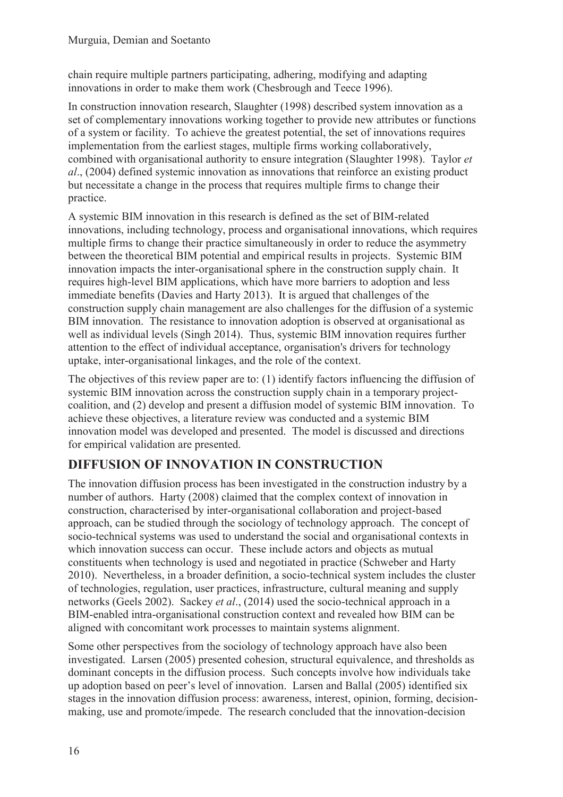chain require multiple partners participating, adhering, modifying and adapting innovations in order to make them work (Chesbrough and Teece 1996).

In construction innovation research, Slaughter (1998) described system innovation as a set of complementary innovations working together to provide new attributes or functions of a system or facility. To achieve the greatest potential, the set of innovations requires implementation from the earliest stages, multiple firms working collaboratively, combined with organisational authority to ensure integration (Slaughter 1998). Taylor *et al*., (2004) defined systemic innovation as innovations that reinforce an existing product but necessitate a change in the process that requires multiple firms to change their practice.

A systemic BIM innovation in this research is defined as the set of BIM-related innovations, including technology, process and organisational innovations, which requires multiple firms to change their practice simultaneously in order to reduce the asymmetry between the theoretical BIM potential and empirical results in projects. Systemic BIM innovation impacts the inter-organisational sphere in the construction supply chain. It requires high-level BIM applications, which have more barriers to adoption and less immediate benefits (Davies and Harty 2013). It is argued that challenges of the construction supply chain management are also challenges for the diffusion of a systemic BIM innovation. The resistance to innovation adoption is observed at organisational as well as individual levels (Singh 2014). Thus, systemic BIM innovation requires further attention to the effect of individual acceptance, organisation's drivers for technology uptake, inter-organisational linkages, and the role of the context.

The objectives of this review paper are to: (1) identify factors influencing the diffusion of systemic BIM innovation across the construction supply chain in a temporary projectcoalition, and (2) develop and present a diffusion model of systemic BIM innovation. To achieve these objectives, a literature review was conducted and a systemic BIM innovation model was developed and presented. The model is discussed and directions for empirical validation are presented.

# **DIFFUSION OF INNOVATION IN CONSTRUCTION**

The innovation diffusion process has been investigated in the construction industry by a number of authors. Harty (2008) claimed that the complex context of innovation in construction, characterised by inter-organisational collaboration and project-based approach, can be studied through the sociology of technology approach. The concept of socio-technical systems was used to understand the social and organisational contexts in which innovation success can occur. These include actors and objects as mutual constituents when technology is used and negotiated in practice (Schweber and Harty 2010). Nevertheless, in a broader definition, a socio-technical system includes the cluster of technologies, regulation, user practices, infrastructure, cultural meaning and supply networks (Geels 2002). Sackey *et al*., (2014) used the socio-technical approach in a BIM-enabled intra-organisational construction context and revealed how BIM can be aligned with concomitant work processes to maintain systems alignment.

Some other perspectives from the sociology of technology approach have also been investigated. Larsen (2005) presented cohesion, structural equivalence, and thresholds as dominant concepts in the diffusion process. Such concepts involve how individuals take up adoption based on peer's level of innovation. Larsen and Ballal (2005) identified six stages in the innovation diffusion process: awareness, interest, opinion, forming, decisionmaking, use and promote/impede. The research concluded that the innovation-decision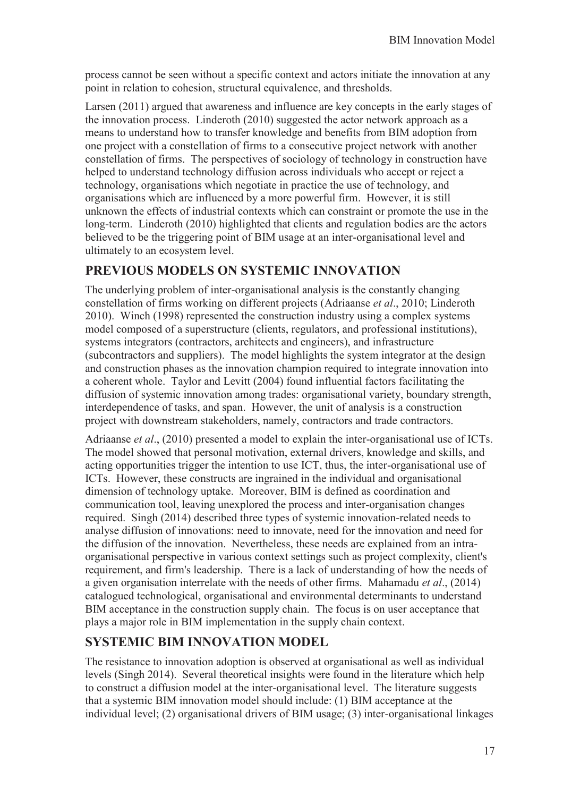process cannot be seen without a specific context and actors initiate the innovation at any point in relation to cohesion, structural equivalence, and thresholds.

Larsen (2011) argued that awareness and influence are key concepts in the early stages of the innovation process. Linderoth (2010) suggested the actor network approach as a means to understand how to transfer knowledge and benefits from BIM adoption from one project with a constellation of firms to a consecutive project network with another constellation of firms. The perspectives of sociology of technology in construction have helped to understand technology diffusion across individuals who accept or reject a technology, organisations which negotiate in practice the use of technology, and organisations which are influenced by a more powerful firm. However, it is still unknown the effects of industrial contexts which can constraint or promote the use in the long-term. Linderoth (2010) highlighted that clients and regulation bodies are the actors believed to be the triggering point of BIM usage at an inter-organisational level and ultimately to an ecosystem level.

## **PREVIOUS MODELS ON SYSTEMIC INNOVATION**

The underlying problem of inter-organisational analysis is the constantly changing constellation of firms working on different projects (Adriaanse *et al*., 2010; Linderoth 2010). Winch (1998) represented the construction industry using a complex systems model composed of a superstructure (clients, regulators, and professional institutions), systems integrators (contractors, architects and engineers), and infrastructure (subcontractors and suppliers). The model highlights the system integrator at the design and construction phases as the innovation champion required to integrate innovation into a coherent whole. Taylor and Levitt (2004) found influential factors facilitating the diffusion of systemic innovation among trades: organisational variety, boundary strength, interdependence of tasks, and span. However, the unit of analysis is a construction project with downstream stakeholders, namely, contractors and trade contractors.

Adriaanse *et al*., (2010) presented a model to explain the inter-organisational use of ICTs. The model showed that personal motivation, external drivers, knowledge and skills, and acting opportunities trigger the intention to use ICT, thus, the inter-organisational use of ICTs. However, these constructs are ingrained in the individual and organisational dimension of technology uptake. Moreover, BIM is defined as coordination and communication tool, leaving unexplored the process and inter-organisation changes required. Singh (2014) described three types of systemic innovation-related needs to analyse diffusion of innovations: need to innovate, need for the innovation and need for the diffusion of the innovation. Nevertheless, these needs are explained from an intraorganisational perspective in various context settings such as project complexity, client's requirement, and firm's leadership. There is a lack of understanding of how the needs of a given organisation interrelate with the needs of other firms. Mahamadu *et al*., (2014) catalogued technological, organisational and environmental determinants to understand BIM acceptance in the construction supply chain. The focus is on user acceptance that plays a major role in BIM implementation in the supply chain context.

## **SYSTEMIC BIM INNOVATION MODEL**

The resistance to innovation adoption is observed at organisational as well as individual levels (Singh 2014). Several theoretical insights were found in the literature which help to construct a diffusion model at the inter-organisational level. The literature suggests that a systemic BIM innovation model should include: (1) BIM acceptance at the individual level; (2) organisational drivers of BIM usage; (3) inter-organisational linkages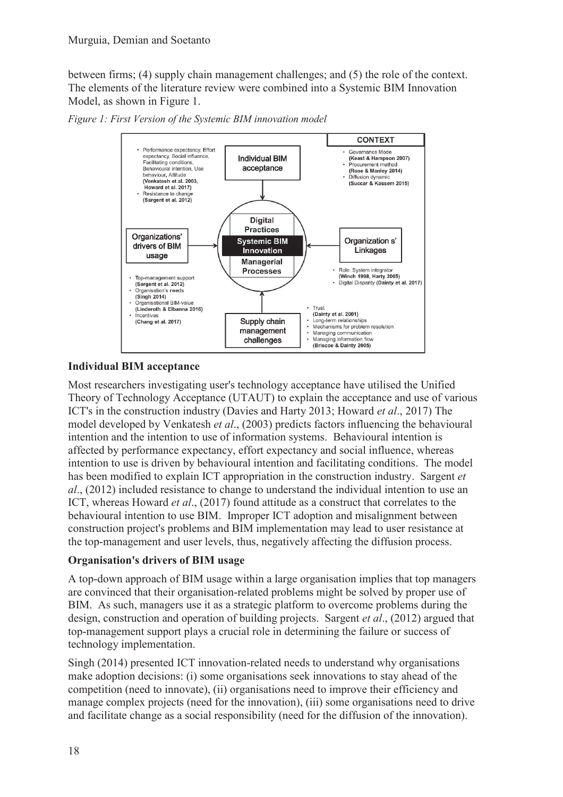between firms; (4) supply chain management challenges; and (5) the role of the context. The elements of the literature review were combined into a Systemic BIM Innovation Model, as shown in Figure 1.





#### **Individual BIM acceptance**

Most researchers investigating user's technology acceptance have utilised the Unified Theory of Technology Acceptance (UTAUT) to explain the acceptance and use of various ICT's in the construction industry (Davies and Harty 2013; Howard *et al*., 2017) The model developed by Venkatesh *et al*., (2003) predicts factors influencing the behavioural intention and the intention to use of information systems. Behavioural intention is affected by performance expectancy, effort expectancy and social influence, whereas intention to use is driven by behavioural intention and facilitating conditions. The model has been modified to explain ICT appropriation in the construction industry. Sargent *et al*., (2012) included resistance to change to understand the individual intention to use an ICT, whereas Howard *et al*., (2017) found attitude as a construct that correlates to the behavioural intention to use BIM. Improper ICT adoption and misalignment between construction project's problems and BIM implementation may lead to user resistance at the top-management and user levels, thus, negatively affecting the diffusion process.

#### **Organisation's drivers of BIM usage**

A top-down approach of BIM usage within a large organisation implies that top managers are convinced that their organisation-related problems might be solved by proper use of BIM. As such, managers use it as a strategic platform to overcome problems during the design, construction and operation of building projects. Sargent *et al*., (2012) argued that top-management support plays a crucial role in determining the failure or success of technology implementation.

Singh (2014) presented ICT innovation-related needs to understand why organisations make adoption decisions: (i) some organisations seek innovations to stay ahead of the competition (need to innovate), (ii) organisations need to improve their efficiency and manage complex projects (need for the innovation), (iii) some organisations need to drive and facilitate change as a social responsibility (need for the diffusion of the innovation).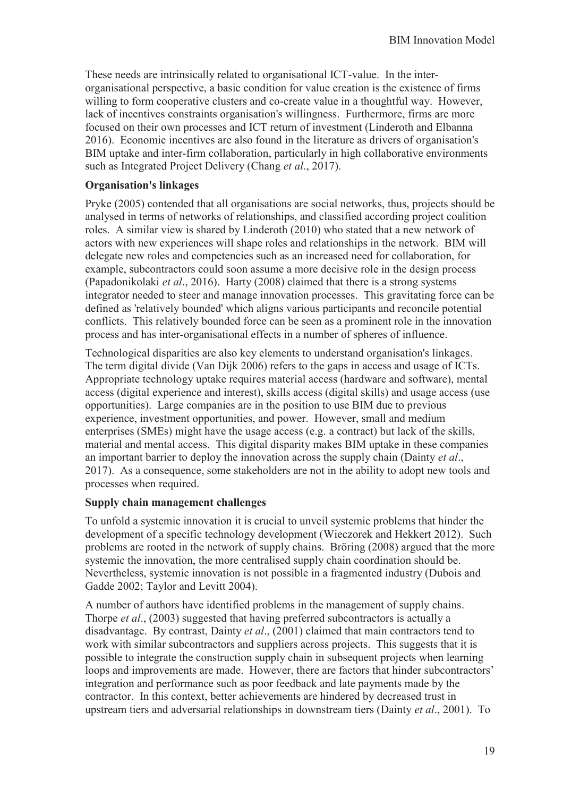These needs are intrinsically related to organisational ICT-value. In the interorganisational perspective, a basic condition for value creation is the existence of firms willing to form cooperative clusters and co-create value in a thoughtful way. However, lack of incentives constraints organisation's willingness. Furthermore, firms are more focused on their own processes and ICT return of investment (Linderoth and Elbanna 2016). Economic incentives are also found in the literature as drivers of organisation's BIM uptake and inter-firm collaboration, particularly in high collaborative environments such as Integrated Project Delivery (Chang *et al*., 2017).

#### **Organisation's linkages**

Pryke (2005) contended that all organisations are social networks, thus, projects should be analysed in terms of networks of relationships, and classified according project coalition roles. A similar view is shared by Linderoth (2010) who stated that a new network of actors with new experiences will shape roles and relationships in the network. BIM will delegate new roles and competencies such as an increased need for collaboration, for example, subcontractors could soon assume a more decisive role in the design process (Papadonikolaki *et al*., 2016). Harty (2008) claimed that there is a strong systems integrator needed to steer and manage innovation processes. This gravitating force can be defined as 'relatively bounded' which aligns various participants and reconcile potential conflicts. This relatively bounded force can be seen as a prominent role in the innovation process and has inter-organisational effects in a number of spheres of influence.

Technological disparities are also key elements to understand organisation's linkages. The term digital divide (Van Dijk 2006) refers to the gaps in access and usage of ICTs. Appropriate technology uptake requires material access (hardware and software), mental access (digital experience and interest), skills access (digital skills) and usage access (use opportunities). Large companies are in the position to use BIM due to previous experience, investment opportunities, and power. However, small and medium enterprises (SMEs) might have the usage access (e.g. a contract) but lack of the skills, material and mental access. This digital disparity makes BIM uptake in these companies an important barrier to deploy the innovation across the supply chain (Dainty *et al*., 2017). As a consequence, some stakeholders are not in the ability to adopt new tools and processes when required.

#### **Supply chain management challenges**

To unfold a systemic innovation it is crucial to unveil systemic problems that hinder the development of a specific technology development (Wieczorek and Hekkert 2012). Such problems are rooted in the network of supply chains. Bröring (2008) argued that the more systemic the innovation, the more centralised supply chain coordination should be. Nevertheless, systemic innovation is not possible in a fragmented industry (Dubois and Gadde 2002; Taylor and Levitt 2004).

A number of authors have identified problems in the management of supply chains. Thorpe *et al*., (2003) suggested that having preferred subcontractors is actually a disadvantage. By contrast, Dainty *et al*., (2001) claimed that main contractors tend to work with similar subcontractors and suppliers across projects. This suggests that it is possible to integrate the construction supply chain in subsequent projects when learning loops and improvements are made. However, there are factors that hinder subcontractors' integration and performance such as poor feedback and late payments made by the contractor. In this context, better achievements are hindered by decreased trust in upstream tiers and adversarial relationships in downstream tiers (Dainty *et al*., 2001). To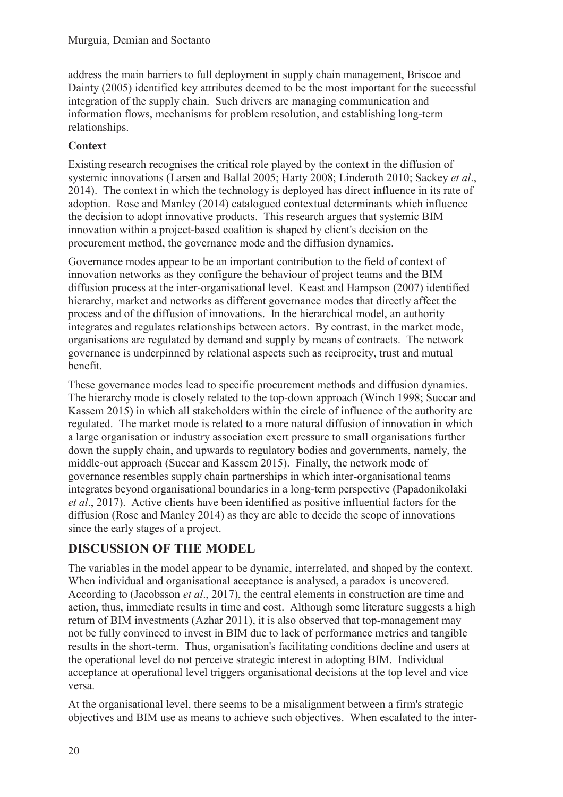address the main barriers to full deployment in supply chain management, Briscoe and Dainty (2005) identified key attributes deemed to be the most important for the successful integration of the supply chain. Such drivers are managing communication and information flows, mechanisms for problem resolution, and establishing long-term relationships.

### **Context**

Existing research recognises the critical role played by the context in the diffusion of systemic innovations (Larsen and Ballal 2005; Harty 2008; Linderoth 2010; Sackey *et al*., 2014). The context in which the technology is deployed has direct influence in its rate of adoption. Rose and Manley (2014) catalogued contextual determinants which influence the decision to adopt innovative products. This research argues that systemic BIM innovation within a project-based coalition is shaped by client's decision on the procurement method, the governance mode and the diffusion dynamics.

Governance modes appear to be an important contribution to the field of context of innovation networks as they configure the behaviour of project teams and the BIM diffusion process at the inter-organisational level. Keast and Hampson (2007) identified hierarchy, market and networks as different governance modes that directly affect the process and of the diffusion of innovations. In the hierarchical model, an authority integrates and regulates relationships between actors. By contrast, in the market mode, organisations are regulated by demand and supply by means of contracts. The network governance is underpinned by relational aspects such as reciprocity, trust and mutual benefit.

These governance modes lead to specific procurement methods and diffusion dynamics. The hierarchy mode is closely related to the top-down approach (Winch 1998; Succar and Kassem 2015) in which all stakeholders within the circle of influence of the authority are regulated. The market mode is related to a more natural diffusion of innovation in which a large organisation or industry association exert pressure to small organisations further down the supply chain, and upwards to regulatory bodies and governments, namely, the middle-out approach (Succar and Kassem 2015). Finally, the network mode of governance resembles supply chain partnerships in which inter-organisational teams integrates beyond organisational boundaries in a long-term perspective (Papadonikolaki *et al*., 2017). Active clients have been identified as positive influential factors for the diffusion (Rose and Manley 2014) as they are able to decide the scope of innovations since the early stages of a project.

# **DISCUSSION OF THE MODEL**

The variables in the model appear to be dynamic, interrelated, and shaped by the context. When individual and organisational acceptance is analysed, a paradox is uncovered. According to (Jacobsson *et al*., 2017), the central elements in construction are time and action, thus, immediate results in time and cost. Although some literature suggests a high return of BIM investments (Azhar 2011), it is also observed that top-management may not be fully convinced to invest in BIM due to lack of performance metrics and tangible results in the short-term. Thus, organisation's facilitating conditions decline and users at the operational level do not perceive strategic interest in adopting BIM. Individual acceptance at operational level triggers organisational decisions at the top level and vice versa.

At the organisational level, there seems to be a misalignment between a firm's strategic objectives and BIM use as means to achieve such objectives. When escalated to the inter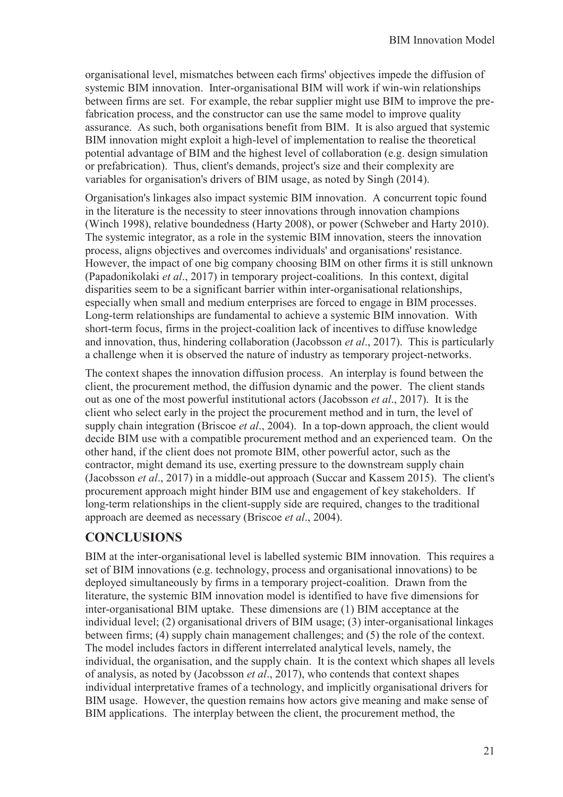organisational level, mismatches between each firms' objectives impede the diffusion of systemic BIM innovation. Inter-organisational BIM will work if win-win relationships between firms are set. For example, the rebar supplier might use BIM to improve the prefabrication process, and the constructor can use the same model to improve quality assurance. As such, both organisations benefit from BIM. It is also argued that systemic BIM innovation might exploit a high-level of implementation to realise the theoretical potential advantage of BIM and the highest level of collaboration (e.g. design simulation or prefabrication). Thus, client's demands, project's size and their complexity are variables for organisation's drivers of BIM usage, as noted by Singh (2014).

Organisation's linkages also impact systemic BIM innovation. A concurrent topic found in the literature is the necessity to steer innovations through innovation champions (Winch 1998), relative boundedness (Harty 2008), or power (Schweber and Harty 2010). The systemic integrator, as a role in the systemic BIM innovation, steers the innovation process, aligns objectives and overcomes individuals' and organisations' resistance. However, the impact of one big company choosing BIM on other firms it is still unknown (Papadonikolaki *et al*., 2017) in temporary project-coalitions. In this context, digital disparities seem to be a significant barrier within inter-organisational relationships, especially when small and medium enterprises are forced to engage in BIM processes. Long-term relationships are fundamental to achieve a systemic BIM innovation. With short-term focus, firms in the project-coalition lack of incentives to diffuse knowledge and innovation, thus, hindering collaboration (Jacobsson *et al*., 2017). This is particularly a challenge when it is observed the nature of industry as temporary project-networks.

The context shapes the innovation diffusion process. An interplay is found between the client, the procurement method, the diffusion dynamic and the power. The client stands out as one of the most powerful institutional actors (Jacobsson *et al*., 2017). It is the client who select early in the project the procurement method and in turn, the level of supply chain integration (Briscoe *et al*., 2004). In a top-down approach, the client would decide BIM use with a compatible procurement method and an experienced team. On the other hand, if the client does not promote BIM, other powerful actor, such as the contractor, might demand its use, exerting pressure to the downstream supply chain (Jacobsson *et al*., 2017) in a middle-out approach (Succar and Kassem 2015). The client's procurement approach might hinder BIM use and engagement of key stakeholders. If long-term relationships in the client-supply side are required, changes to the traditional approach are deemed as necessary (Briscoe *et al*., 2004).

## **CONCLUSIONS**

BIM at the inter-organisational level is labelled systemic BIM innovation. This requires a set of BIM innovations (e.g. technology, process and organisational innovations) to be deployed simultaneously by firms in a temporary project-coalition. Drawn from the literature, the systemic BIM innovation model is identified to have five dimensions for inter-organisational BIM uptake. These dimensions are (1) BIM acceptance at the individual level; (2) organisational drivers of BIM usage; (3) inter-organisational linkages between firms; (4) supply chain management challenges; and (5) the role of the context. The model includes factors in different interrelated analytical levels, namely, the individual, the organisation, and the supply chain. It is the context which shapes all levels of analysis, as noted by (Jacobsson *et al*., 2017), who contends that context shapes individual interpretative frames of a technology, and implicitly organisational drivers for BIM usage. However, the question remains how actors give meaning and make sense of BIM applications. The interplay between the client, the procurement method, the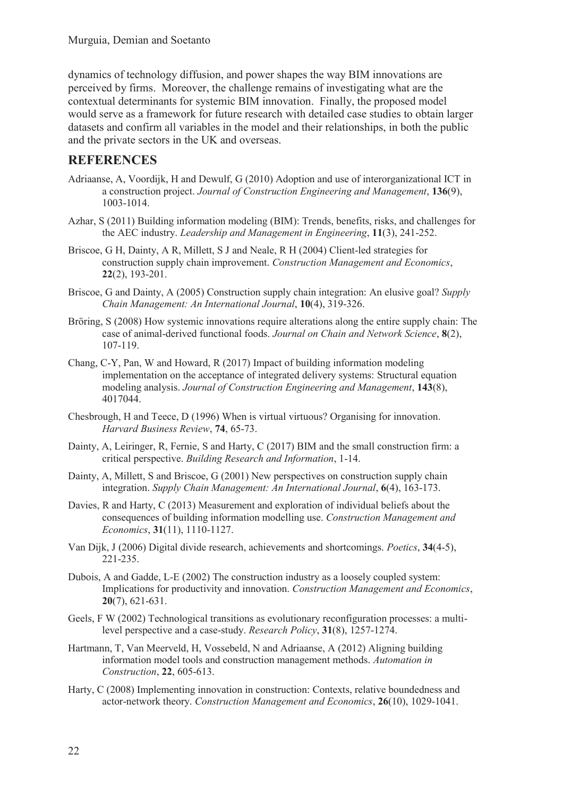dynamics of technology diffusion, and power shapes the way BIM innovations are perceived by firms. Moreover, the challenge remains of investigating what are the contextual determinants for systemic BIM innovation. Finally, the proposed model would serve as a framework for future research with detailed case studies to obtain larger datasets and confirm all variables in the model and their relationships, in both the public and the private sectors in the UK and overseas.

### **REFERENCES**

- Adriaanse, A, Voordijk, H and Dewulf, G (2010) Adoption and use of interorganizational ICT in a construction project. *Journal of Construction Engineering and Management*, **136**(9), 1003-1014.
- Azhar, S (2011) Building information modeling (BIM): Trends, benefits, risks, and challenges for the AEC industry. *Leadership and Management in Engineering*, **11**(3), 241-252.
- Briscoe, G H, Dainty, A R, Millett, S J and Neale, R H (2004) Client-led strategies for construction supply chain improvement. *Construction Management and Economics*, **22**(2), 193-201.
- Briscoe, G and Dainty, A (2005) Construction supply chain integration: An elusive goal? *Supply Chain Management: An International Journal*, **10**(4), 319-326.
- Bröring, S (2008) How systemic innovations require alterations along the entire supply chain: The case of animal-derived functional foods. *Journal on Chain and Network Science*, **8**(2), 107-119.
- Chang, C-Y, Pan, W and Howard, R (2017) Impact of building information modeling implementation on the acceptance of integrated delivery systems: Structural equation modeling analysis. *Journal of Construction Engineering and Management*, **143**(8), 4017044.
- Chesbrough, H and Teece, D (1996) When is virtual virtuous? Organising for innovation. *Harvard Business Review*, **74**, 65-73.
- Dainty, A, Leiringer, R, Fernie, S and Harty, C (2017) BIM and the small construction firm: a critical perspective. *Building Research and Information*, 1-14.
- Dainty, A, Millett, S and Briscoe, G (2001) New perspectives on construction supply chain integration. *Supply Chain Management: An International Journal*, **6**(4), 163-173.
- Davies, R and Harty, C (2013) Measurement and exploration of individual beliefs about the consequences of building information modelling use. *Construction Management and Economics*, **31**(11), 1110-1127.
- Van Dijk, J (2006) Digital divide research, achievements and shortcomings. *Poetics*, **34**(4-5), 221-235.
- Dubois, A and Gadde, L-E (2002) The construction industry as a loosely coupled system: Implications for productivity and innovation. *Construction Management and Economics*, **20**(7), 621-631.
- Geels, F W (2002) Technological transitions as evolutionary reconfiguration processes: a multilevel perspective and a case-study. *Research Policy*, **31**(8), 1257-1274.
- Hartmann, T, Van Meerveld, H, Vossebeld, N and Adriaanse, A (2012) Aligning building information model tools and construction management methods. *Automation in Construction*, **22**, 605-613.
- Harty, C (2008) Implementing innovation in construction: Contexts, relative boundedness and actor-network theory. *Construction Management and Economics*, **26**(10), 1029-1041.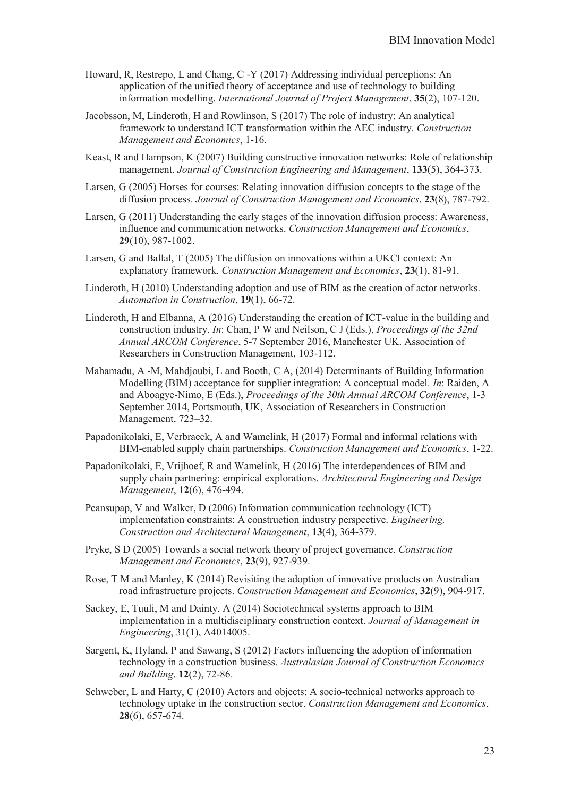- Howard, R, Restrepo, L and Chang, C -Y (2017) Addressing individual perceptions: An application of the unified theory of acceptance and use of technology to building information modelling. *International Journal of Project Management*, **35**(2), 107-120.
- Jacobsson, M, Linderoth, H and Rowlinson, S (2017) The role of industry: An analytical framework to understand ICT transformation within the AEC industry. *Construction Management and Economics*, 1-16.
- Keast, R and Hampson, K (2007) Building constructive innovation networks: Role of relationship management. *Journal of Construction Engineering and Management*, **133**(5), 364-373.
- Larsen, G (2005) Horses for courses: Relating innovation diffusion concepts to the stage of the diffusion process. *Journal of Construction Management and Economics*, **23**(8), 787-792.
- Larsen, G (2011) Understanding the early stages of the innovation diffusion process: Awareness, influence and communication networks. *Construction Management and Economics*, **29**(10), 987-1002.
- Larsen, G and Ballal, T (2005) The diffusion on innovations within a UKCI context: An explanatory framework. *Construction Management and Economics*, **23**(1), 81-91.
- Linderoth, H (2010) Understanding adoption and use of BIM as the creation of actor networks. *Automation in Construction*, **19**(1), 66-72.
- Linderoth, H and Elbanna, A (2016) Understanding the creation of ICT-value in the building and construction industry. *In*: Chan, P W and Neilson, C J (Eds.), *Proceedings of the 32nd Annual ARCOM Conference*, 5-7 September 2016, Manchester UK. Association of Researchers in Construction Management, 103-112.
- Mahamadu, A -M, Mahdjoubi, L and Booth, C A, (2014) Determinants of Building Information Modelling (BIM) acceptance for supplier integration: A conceptual model. *In*: Raiden, A and Aboagye-Nimo, E (Eds.), *Proceedings of the 30th Annual ARCOM Conference*, 1-3 September 2014, Portsmouth, UK, Association of Researchers in Construction Management, 723–32.
- Papadonikolaki, E, Verbraeck, A and Wamelink, H (2017) Formal and informal relations with BIM-enabled supply chain partnerships. *Construction Management and Economics*, 1-22.
- Papadonikolaki, E, Vrijhoef, R and Wamelink, H (2016) The interdependences of BIM and supply chain partnering: empirical explorations. *Architectural Engineering and Design Management*, **12**(6), 476-494.
- Peansupap, V and Walker, D (2006) Information communication technology (ICT) implementation constraints: A construction industry perspective. *Engineering, Construction and Architectural Management*, **13**(4), 364-379.
- Pryke, S D (2005) Towards a social network theory of project governance. *Construction Management and Economics*, **23**(9), 927-939.
- Rose, T M and Manley, K (2014) Revisiting the adoption of innovative products on Australian road infrastructure projects. *Construction Management and Economics*, **32**(9), 904-917.
- Sackey, E, Tuuli, M and Dainty, A (2014) Sociotechnical systems approach to BIM implementation in a multidisciplinary construction context. *Journal of Management in Engineering*, 31(1), A4014005.
- Sargent, K, Hyland, P and Sawang, S (2012) Factors influencing the adoption of information technology in a construction business. *Australasian Journal of Construction Economics and Building*, **12**(2), 72-86.
- Schweber, L and Harty, C (2010) Actors and objects: A socio-technical networks approach to technology uptake in the construction sector. *Construction Management and Economics*, **28**(6), 657-674.